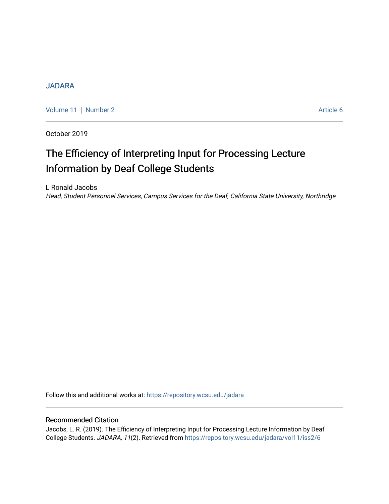## [JADARA](https://repository.wcsu.edu/jadara)

[Volume 11](https://repository.wcsu.edu/jadara/vol11) [Number 2](https://repository.wcsu.edu/jadara/vol11/iss2) Article 6

October 2019

# The Efficiency of Interpreting Input for Processing Lecture Information by Deaf College Students

L Ronald Jacobs Head, Student Personnel Services, Campus Services for the Deaf, California State University, Northridge

Follow this and additional works at: [https://repository.wcsu.edu/jadara](https://repository.wcsu.edu/jadara?utm_source=repository.wcsu.edu%2Fjadara%2Fvol11%2Fiss2%2F6&utm_medium=PDF&utm_campaign=PDFCoverPages)

## Recommended Citation

Jacobs, L. R. (2019). The Efficiency of Interpreting Input for Processing Lecture Information by Deaf College Students. JADARA, 11(2). Retrieved from [https://repository.wcsu.edu/jadara/vol11/iss2/6](https://repository.wcsu.edu/jadara/vol11/iss2/6?utm_source=repository.wcsu.edu%2Fjadara%2Fvol11%2Fiss2%2F6&utm_medium=PDF&utm_campaign=PDFCoverPages)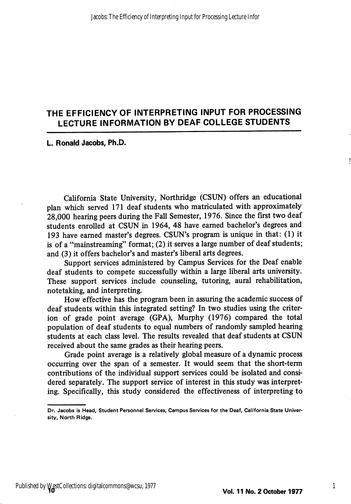# THE EFFICIENCY OF INTERPRETING INPUT FOR PROCESSING LECTURE INFORMATION BY DEAF COLLEGE STUDENTS

#### L. Ronald Jacobs, Ph.D.

California State University, Northridge (CSUN) offers an educational plan which served 171 deaf students who matriculated with approximately 28,000 hearing peers during the Fall Semester, 1976. Since the first two deaf students enrolled at CSUN in 1964, 48 have earned bachelor's degrees and 193 have earned master's degrees. CSUN's program is unique in that: (1) it is of a "mainstreaming" format; (2) it serves a large number of deaf students; and (3) it offers bachelor's and master's liberal arts degrees.

Support services administered by Campus Services for the Deaf enable deaf students to compete successfully within a large liberal arts university. These support services include counseling, tutoring, aural rehabilitation, notetaking, and interpreting.

How effective has the program been in assuring the academic success of deaf students within this integrated setting? In two studies using the criter ion of grade point average (CPA), Murphy (1976) compared the total population of deaf students to equal numbers of randomly sampled hearing students at each class level. The results revealed that deaf students at CSUN received about the same grades as their hearing peers.

Grade point average is a relatively global measure of a dynamic process occurring over the span of a semester. It would seem that the short-term contributions of the individual support services could be isolated and consi dered separately. The support service of interest in this study was interpret ing. Specifically, this study considered the effectiveness of interpreting to

1

Dr. Jacobs is Head, Student Personnel Services, Campus Services for the Deaf, California State Univer sity, North Ridge.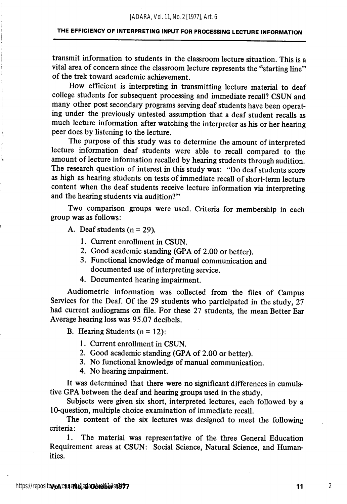transmit information to students in the classroom lecture situation. This is a vital area of concern since the classroom lecture represents the "starting line" of the trek toward academic achievement.

How efficient is interpreting in transmitting lecture material to deaf college students for subsequent processing and immediate recall? CSUN and many other post secondary programs serving deaf students have been operat ing under the previously untested assumption that a deaf student recalls as much lecture information after watching the interpreter as his or her hearing peer does by listening to the lecture.

The purpose of this study was to determine the amount of interpreted lecture information deaf students were able to recall compared to the amount of lecture information recalled by hearing students through audition. The research question of interest in this study was: "Do deaf students score as high as hearing students on tests of immediate recall of short-term lecture content when the deaf students receive lecture information via interpreting and the hearing students via audition?"

Two comparison groups were used. Criteria for membership in each group was as follows:

A. Deaf students  $(n = 29)$ .

1. Current enrollment in CSUN.

- 2. Good academic standing (CPA of 2.00 or better).
- 3. Functional knowledge of manual communication and documented use of interpreting service.
- 4. Documented hearing impairment.

Audiometric information was collected from the files of Campus Services for the Deaf. Of the 29 students who participated in the study, 27 had current audiograms on file. For these 27 students, the mean Better Ear Average hearing loss was 95.07 decibels.

B. Hearing Students  $(n = 12)$ :

- 1. Current enrollment in CSUN.
- 2. Good academic standing (GPA of 2.00 or better).
- 3. No functional knowledge of manual communication.
- 4. No hearing impairment.

It was determined that there were no significant differences in cumula tive GPA between the deaf and hearing groups used in the study.

Subjects were given six short, interpreted lectures, each followed by a 10-question, multiple choice examination of immediate recall.

The content of the six lectures was designed to meet the following criteria:

1. The material was representative of the three General Education Requirement areas at CSUN: Social Science, Natural Science, and Human ities.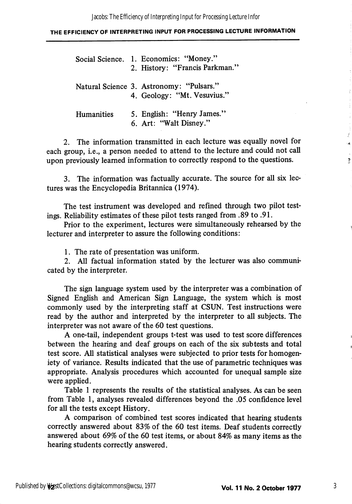|            | Social Science. 1. Economics: "Money."<br>2. History: "Francis Parkman." |
|------------|--------------------------------------------------------------------------|
|            | Natural Science 3. Astronomy: "Pulsars."<br>4. Geology: "Mt. Vesuvius."  |
| Humanities | 5. English: "Henry James."<br>6. Art: "Walt Disney."                     |

2. The information transmitted in each lecture was equally novel for each group, i.e., a person needed to attend to the lecture and could not call upon previously learned information to correctly respond to the questions.

3. The information was factually accurate. The source for all six lec tures was the Encyclopedia Britannica (1974).

The test instrument was developed and refined through two pilot test ings. Reliability estimates of these pilot tests ranged from .89 to .91.

Prior to the experiment, lectures were simultaneously rehearsed by the lecturer and interpreter to assure the following conditions:

1. The rate of presentation was uniform.

2. All factual information stated by the lecturer was also communi cated by the interpreter.

The sign language system used by the interpreter was a combination of Signed English and American Sign Language, the system which is most commonly used by the interpreting staff at CSUN. Test instructions were read by the author and interpreted by the interpreter to all subjects. The interpreter was not aware of the 60 test questions.

A one-tail, independent groups t-test was used to test score differences between the hearing and deaf groups on each of the six sub tests and total test score. All statistical analyses were subjected to prior tests for homogeniety of variance. Results indicated that the use of parametric techniques was appropriate. Analysis procedures which accounted for unequal sample size were applied.

Table 1 represents the results of the statistical analyses. As can be seen from Table 1, analyses revealed differences beyond the .05 confidence level for all the tests except History.

A comparison of combined test scores indicated that hearing students correctly answered about 83% of the 60 test items. Deaf students correctly answered about 69% of the 60 test items, or about 84% as many items as the hearing students correctly answered.

 $\overline{\epsilon}$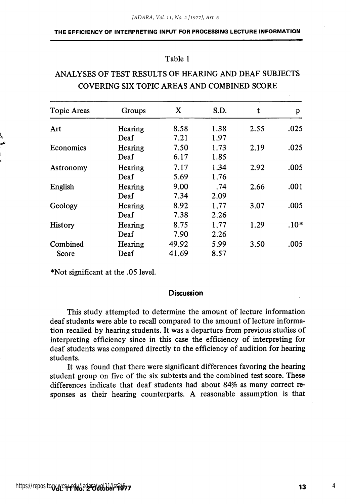## Table 1

# ANALYSES OF TEST RESULTS OF HEARING AND DEAF SUBJECTS COVERING SIX TOPIC AREAS AND COMBINED SCORE

| Topic Areas       | Groups  | X     | S.D. | t    | p      |
|-------------------|---------|-------|------|------|--------|
| Art               | Hearing | 8.58  | 1.38 | 2.55 | .025   |
|                   | Deaf    | 7.21  | 1.97 |      |        |
| Economics         | Hearing | 7.50  | 1.73 | 2.19 | .025   |
|                   | Deaf    | 6.17  | 1.85 |      |        |
| Astronomy         | Hearing | 7.17  | 1.34 | 2.92 | .005   |
|                   | Deaf    | 5.69  | 1.76 |      |        |
| English           | Hearing | 9.00  | .74  | 2.66 | .001   |
|                   | Deaf    | 7.34  | 2.09 |      |        |
| Geology           | Hearing | 8.92  | 1.77 | 3.07 | .005   |
|                   | Deaf    | 7.38  | 2.26 |      |        |
| History           | Hearing | 8.75  | 1.77 | 1.29 | $.10*$ |
|                   | Deaf    | 7.90  | 2.26 |      |        |
| Combined<br>Score | Hearing | 49.92 | 5.99 | 3.50 | .005   |
|                   | Deaf    | 41.69 | 8.57 |      |        |

\*Not significant at the .05 level.

#### **Discussion**

This study attempted to determine the amount of lecture information deaf students were able to recall compared to the amount of lecture informa tion recalled by hearing students. It was a departure from previous studies of interpreting efficiency since in this case the efficiency of interpreting for deaf students was compared directly to the efficiency of audition for hearing students.

It was found that there were significant differences favoring the hearing student group on five of the six subtests and the combined test score. These differences indicate that deaf students had about 84% as many correct re sponses as their hearing counterparts. A reasonable assumption is that